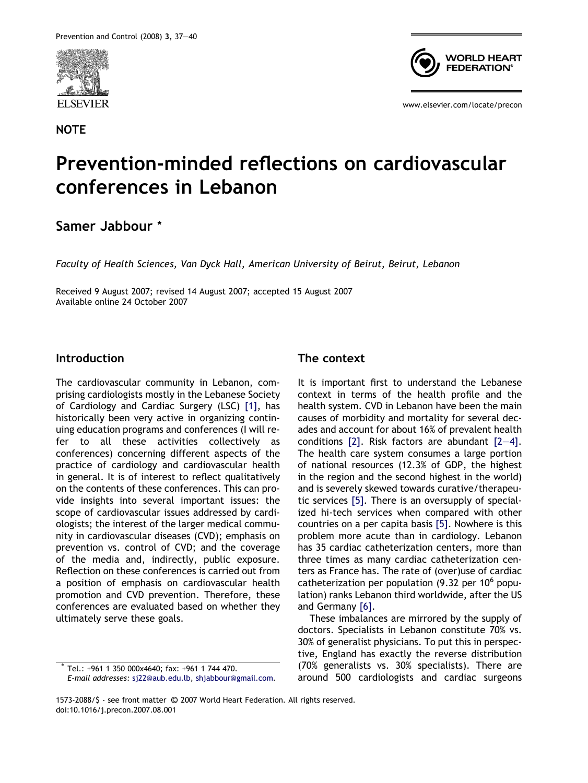

**NOTE** 



www.elsevier.com/locate/precon

# Prevention-minded reflections on cardiovascular conferences in Lebanon

# Samer Jabbour \*

Faculty of Health Sciences, Van Dyck Hall, American University of Beirut, Beirut, Lebanon

Received 9 August 2007; revised 14 August 2007; accepted 15 August 2007 Available online 24 October 2007

#### Introduction

The cardiovascular community in Lebanon, comprising cardiologists mostly in the Lebanese Society of Cardiology and Cardiac Surgery (LSC) [\[1\],](#page-3-0) has historically been very active in organizing continuing education programs and conferences (I will refer to all these activities collectively as conferences) concerning different aspects of the practice of cardiology and cardiovascular health in general. It is of interest to reflect qualitatively on the contents of these conferences. This can provide insights into several important issues: the scope of cardiovascular issues addressed by cardiologists; the interest of the larger medical community in cardiovascular diseases (CVD); emphasis on prevention vs. control of CVD; and the coverage of the media and, indirectly, public exposure. Reflection on these conferences is carried out from a position of emphasis on cardiovascular health promotion and CVD prevention. Therefore, these conferences are evaluated based on whether they ultimately serve these goals.

### The context

It is important first to understand the Lebanese context in terms of the health profile and the health system. CVD in Lebanon have been the main causes of morbidity and mortality for several decades and account for about 16% of prevalent health conditions  $[2]$ . Risk factors are abundant  $[2-4]$ . The health care system consumes a large portion of national resources (12.3% of GDP, the highest in the region and the second highest in the world) and is severely skewed towards curative/therapeutic services [\[5\].](#page-3-0) There is an oversupply of specialized hi-tech services when compared with other countries on a per capita basis [\[5\].](#page-3-0) Nowhere is this problem more acute than in cardiology. Lebanon has 35 cardiac catheterization centers, more than three times as many cardiac catheterization centers as France has. The rate of (over)use of cardiac catheterization per population  $(9.32$  per 10<sup>6</sup> population) ranks Lebanon third worldwide, after the US and Germany [\[6\].](#page-3-0)

These imbalances are mirrored by the supply of doctors. Specialists in Lebanon constitute 70% vs. 30% of generalist physicians. To put this in perspective, England has exactly the reverse distribution (70% generalists vs. 30% specialists). There are around 500 cardiologists and cardiac surgeons

Tel.: +961 1 350 000x4640; fax: +961 1 744 470. E-mail addresses: [sj22@aub.edu.lb,](mailto:sj22@aub.edu.lb) [shjabbour@gmail.com.](mailto:shjabbour@gmail.com)

<sup>1573-2088/\$ -</sup> see front matter © 2007 World Heart Federation. All rights reserved. doi:10.1016/j.precon.2007.08.001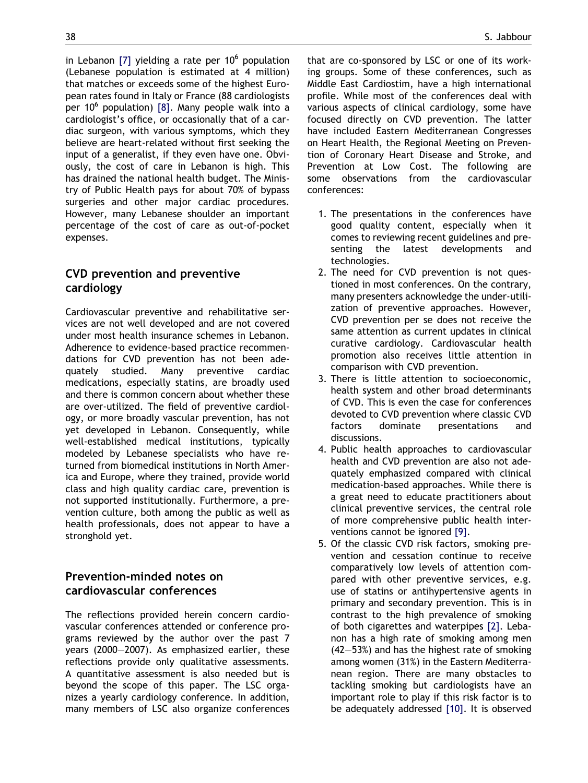in Lebanon [\[7\]](#page-3-0) yielding a rate per  $10^6$  population (Lebanese population is estimated at 4 million) that matches or exceeds some of the highest European rates found in Italy or France (88 cardiologists per 10 $^6$  population) [\[8\]](#page-3-0). Many people walk into a cardiologist's office, or occasionally that of a cardiac surgeon, with various symptoms, which they believe are heart-related without first seeking the input of a generalist, if they even have one. Obviously, the cost of care in Lebanon is high. This has drained the national health budget. The Ministry of Public Health pays for about 70% of bypass surgeries and other major cardiac procedures. However, many Lebanese shoulder an important percentage of the cost of care as out-of-pocket expenses.

## CVD prevention and preventive cardiology

Cardiovascular preventive and rehabilitative services are not well developed and are not covered under most health insurance schemes in Lebanon. Adherence to evidence-based practice recommendations for CVD prevention has not been adequately studied. Many preventive cardiac medications, especially statins, are broadly used and there is common concern about whether these are over-utilized. The field of preventive cardiology, or more broadly vascular prevention, has not yet developed in Lebanon. Consequently, while well-established medical institutions, typically modeled by Lebanese specialists who have returned from biomedical institutions in North America and Europe, where they trained, provide world class and high quality cardiac care, prevention is not supported institutionally. Furthermore, a prevention culture, both among the public as well as health professionals, does not appear to have a stronghold yet.

## Prevention-minded notes on cardiovascular conferences

The reflections provided herein concern cardiovascular conferences attended or conference programs reviewed by the author over the past 7 years (2000–2007). As emphasized earlier, these reflections provide only qualitative assessments. A quantitative assessment is also needed but is beyond the scope of this paper. The LSC organizes a yearly cardiology conference. In addition, many members of LSC also organize conferences that are co-sponsored by LSC or one of its working groups. Some of these conferences, such as Middle East Cardiostim, have a high international profile. While most of the conferences deal with various aspects of clinical cardiology, some have focused directly on CVD prevention. The latter have included Eastern Mediterranean Congresses on Heart Health, the Regional Meeting on Prevention of Coronary Heart Disease and Stroke, and Prevention at Low Cost. The following are some observations from the cardiovascular conferences:

- 1. The presentations in the conferences have good quality content, especially when it comes to reviewing recent guidelines and presenting the latest developments and technologies.
- 2. The need for CVD prevention is not questioned in most conferences. On the contrary, many presenters acknowledge the under-utilization of preventive approaches. However, CVD prevention per se does not receive the same attention as current updates in clinical curative cardiology. Cardiovascular health promotion also receives little attention in comparison with CVD prevention.
- 3. There is little attention to socioeconomic, health system and other broad determinants of CVD. This is even the case for conferences devoted to CVD prevention where classic CVD factors dominate presentations and discussions.
- 4. Public health approaches to cardiovascular health and CVD prevention are also not adequately emphasized compared with clinical medication-based approaches. While there is a great need to educate practitioners about clinical preventive services, the central role of more comprehensive public health interventions cannot be ignored [\[9\]](#page-3-0).
- 5. Of the classic CVD risk factors, smoking prevention and cessation continue to receive comparatively low levels of attention compared with other preventive services, e.g. use of statins or antihypertensive agents in primary and secondary prevention. This is in contrast to the high prevalence of smoking of both cigarettes and waterpipes [\[2\]](#page-3-0). Lebanon has a high rate of smoking among men (42–53%) and has the highest rate of smoking among women (31%) in the Eastern Mediterranean region. There are many obstacles to tackling smoking but cardiologists have an important role to play if this risk factor is to be adequately addressed [\[10\].](#page-3-0) It is observed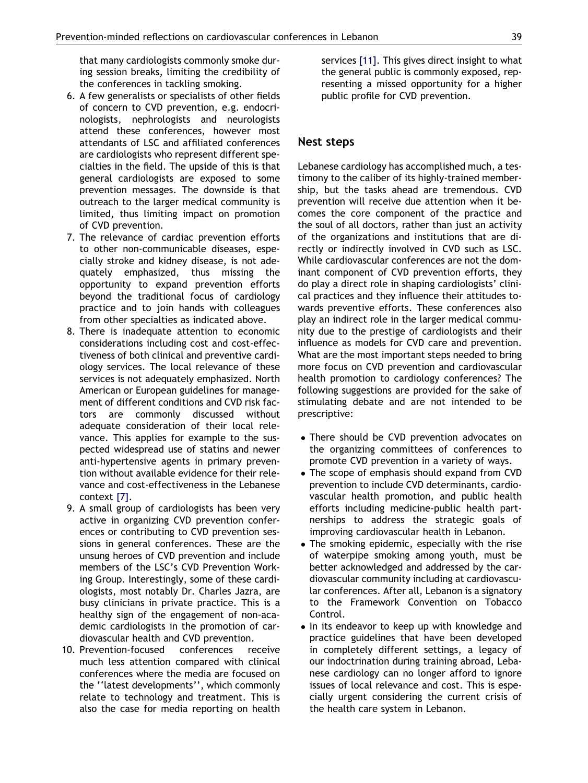that many cardiologists commonly smoke during session breaks, limiting the credibility of the conferences in tackling smoking.

- 6. A few generalists or specialists of other fields of concern to CVD prevention, e.g. endocrinologists, nephrologists and neurologists attend these conferences, however most attendants of LSC and affiliated conferences are cardiologists who represent different specialties in the field. The upside of this is that general cardiologists are exposed to some prevention messages. The downside is that outreach to the larger medical community is limited, thus limiting impact on promotion of CVD prevention.
- 7. The relevance of cardiac prevention efforts to other non-communicable diseases, especially stroke and kidney disease, is not adequately emphasized, thus missing the opportunity to expand prevention efforts beyond the traditional focus of cardiology practice and to join hands with colleagues from other specialties as indicated above.
- 8. There is inadequate attention to economic considerations including cost and cost-effectiveness of both clinical and preventive cardiology services. The local relevance of these services is not adequately emphasized. North American or European guidelines for management of different conditions and CVD risk factors are commonly discussed without adequate consideration of their local relevance. This applies for example to the suspected widespread use of statins and newer anti-hypertensive agents in primary prevention without available evidence for their relevance and cost-effectiveness in the Lebanese context [\[7\].](#page-3-0)
- 9. A small group of cardiologists has been very active in organizing CVD prevention conferences or contributing to CVD prevention sessions in general conferences. These are the unsung heroes of CVD prevention and include members of the LSC's CVD Prevention Working Group. Interestingly, some of these cardiologists, most notably Dr. Charles Jazra, are busy clinicians in private practice. This is a healthy sign of the engagement of non-academic cardiologists in the promotion of cardiovascular health and CVD prevention.
- 10. Prevention-focused conferences receive much less attention compared with clinical conferences where the media are focused on the ''latest developments'', which commonly relate to technology and treatment. This is also the case for media reporting on health

services [\[11\].](#page-3-0) This gives direct insight to what the general public is commonly exposed, representing a missed opportunity for a higher public profile for CVD prevention.

#### Nest steps

Lebanese cardiology has accomplished much, a testimony to the caliber of its highly-trained membership, but the tasks ahead are tremendous. CVD prevention will receive due attention when it becomes the core component of the practice and the soul of all doctors, rather than just an activity of the organizations and institutions that are directly or indirectly involved in CVD such as LSC. While cardiovascular conferences are not the dominant component of CVD prevention efforts, they do play a direct role in shaping cardiologists' clinical practices and they influence their attitudes towards preventive efforts. These conferences also play an indirect role in the larger medical community due to the prestige of cardiologists and their influence as models for CVD care and prevention. What are the most important steps needed to bring more focus on CVD prevention and cardiovascular health promotion to cardiology conferences? The following suggestions are provided for the sake of stimulating debate and are not intended to be prescriptive:

- There should be CVD prevention advocates on the organizing committees of conferences to promote CVD prevention in a variety of ways.
- The scope of emphasis should expand from CVD prevention to include CVD determinants, cardiovascular health promotion, and public health efforts including medicine-public health partnerships to address the strategic goals of improving cardiovascular health in Lebanon.
- The smoking epidemic, especially with the rise of waterpipe smoking among youth, must be better acknowledged and addressed by the cardiovascular community including at cardiovascular conferences. After all, Lebanon is a signatory to the Framework Convention on Tobacco Control.
- In its endeavor to keep up with knowledge and practice guidelines that have been developed in completely different settings, a legacy of our indoctrination during training abroad, Lebanese cardiology can no longer afford to ignore issues of local relevance and cost. This is especially urgent considering the current crisis of the health care system in Lebanon.